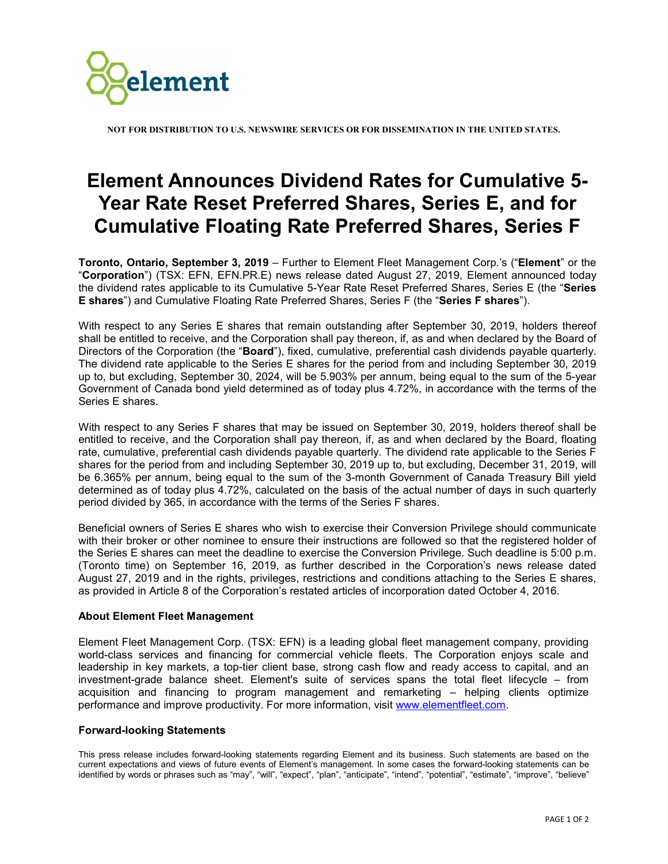

**NOT FOR DISTRIBUTION TO U.S. NEWSWIRE SERVICES OR FOR DISSEMINATION IN THE UNITED STATES.**

## **Element Announces Dividend Rates for Cumulative 5- Year Rate Reset Preferred Shares, Series E, and for Cumulative Floating Rate Preferred Shares, Series F**

**Toronto, Ontario, September 3, 2019** – Further to Element Fleet Management Corp.'s ("**Element**" or the "**Corporation**") (TSX: EFN, EFN.PR.E) news release dated August 27, 2019, Element announced today the dividend rates applicable to its Cumulative 5-Year Rate Reset Preferred Shares, Series E (the "**Series E shares**") and Cumulative Floating Rate Preferred Shares, Series F (the "**Series F shares**").

With respect to any Series E shares that remain outstanding after September 30, 2019, holders thereof shall be entitled to receive, and the Corporation shall pay thereon, if, as and when declared by the Board of Directors of the Corporation (the "**Board**"), fixed, cumulative, preferential cash dividends payable quarterly. The dividend rate applicable to the Series E shares for the period from and including September 30, 2019 up to, but excluding, September 30, 2024, will be 5.903% per annum, being equal to the sum of the 5-year Government of Canada bond yield determined as of today plus 4.72%, in accordance with the terms of the Series E shares.

With respect to any Series F shares that may be issued on September 30, 2019, holders thereof shall be entitled to receive, and the Corporation shall pay thereon, if, as and when declared by the Board, floating rate, cumulative, preferential cash dividends payable quarterly. The dividend rate applicable to the Series F shares for the period from and including September 30, 2019 up to, but excluding, December 31, 2019, will be 6.365% per annum, being equal to the sum of the 3-month Government of Canada Treasury Bill yield determined as of today plus 4.72%, calculated on the basis of the actual number of days in such quarterly period divided by 365, in accordance with the terms of the Series F shares.

Beneficial owners of Series E shares who wish to exercise their Conversion Privilege should communicate with their broker or other nominee to ensure their instructions are followed so that the registered holder of the Series E shares can meet the deadline to exercise the Conversion Privilege. Such deadline is 5:00 p.m. (Toronto time) on September 16, 2019, as further described in the Corporation's news release dated August 27, 2019 and in the rights, privileges, restrictions and conditions attaching to the Series E shares, as provided in Article 8 of the Corporation's restated articles of incorporation dated October 4, 2016.

## **About Element Fleet Management**

Element Fleet Management Corp. (TSX: EFN) is a leading global fleet management company, providing world-class services and financing for commercial vehicle fleets. The Corporation enjoys scale and leadership in key markets, a top-tier client base, strong cash flow and ready access to capital, and an investment-grade balance sheet. Element's suite of services spans the total fleet lifecycle – from acquisition and financing to program management and remarketing – helping clients optimize performance and improve productivity. For more information, visit [www.elementfleet.com.](http://www.elementfleet.com/)

## **Forward-looking Statements**

This press release includes forward-looking statements regarding Element and its business. Such statements are based on the current expectations and views of future events of Element's management. In some cases the forward-looking statements can be identified by words or phrases such as "may", "will", "expect", "plan", "anticipate", "intend", "potential", "estimate", "improve", "believe"